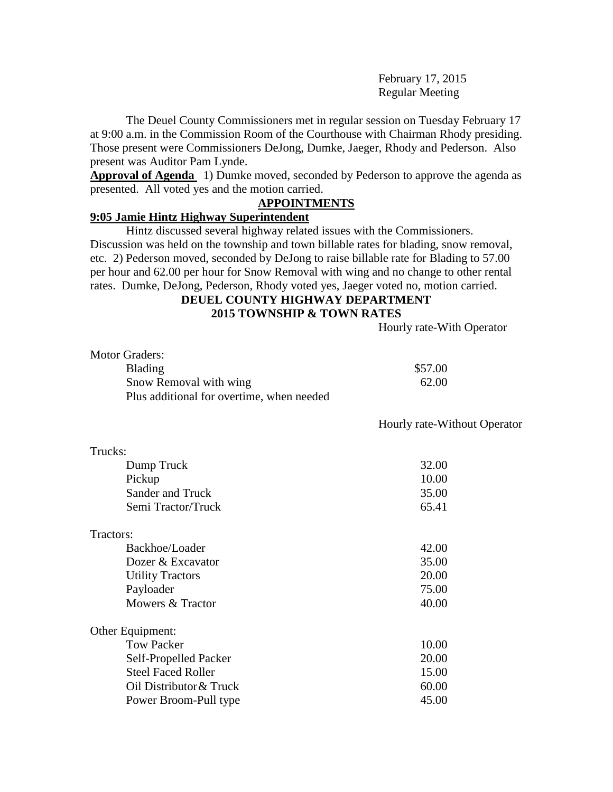February 17, 2015 Regular Meeting

The Deuel County Commissioners met in regular session on Tuesday February 17 at 9:00 a.m. in the Commission Room of the Courthouse with Chairman Rhody presiding. Those present were Commissioners DeJong, Dumke, Jaeger, Rhody and Pederson. Also present was Auditor Pam Lynde.

**Approval of Agenda** 1) Dumke moved, seconded by Pederson to approve the agenda as presented. All voted yes and the motion carried.

## **APPOINTMENTS**

## **9:05 Jamie Hintz Highway Superintendent**

Hintz discussed several highway related issues with the Commissioners. Discussion was held on the township and town billable rates for blading, snow removal, etc. 2) Pederson moved, seconded by DeJong to raise billable rate for Blading to 57.00 per hour and 62.00 per hour for Snow Removal with wing and no change to other rental rates. Dumke, DeJong, Pederson, Rhody voted yes, Jaeger voted no, motion carried.

# **DEUEL COUNTY HIGHWAY DEPARTMENT 2015 TOWNSHIP & TOWN RATES**

Hourly rate-With Operator

| Motor Graders:                            |         |
|-------------------------------------------|---------|
| <b>Blading</b>                            | \$57.00 |
| Snow Removal with wing                    | 62.00   |
| Plus additional for overtime, when needed |         |

Hourly rate-Without Operator

| Trucks:                   |       |
|---------------------------|-------|
| Dump Truck                | 32.00 |
| Pickup                    | 10.00 |
| Sander and Truck          | 35.00 |
| Semi Tractor/Truck        | 65.41 |
| Tractors:                 |       |
| Backhoe/Loader            | 42.00 |
| Dozer & Excavator         | 35.00 |
| <b>Utility Tractors</b>   | 20.00 |
| Payloader                 | 75.00 |
| Mowers & Tractor          | 40.00 |
| Other Equipment:          |       |
| <b>Tow Packer</b>         | 10.00 |
| Self-Propelled Packer     | 20.00 |
| <b>Steel Faced Roller</b> | 15.00 |
| Oil Distributor & Truck   | 60.00 |
| Power Broom-Pull type     | 45.00 |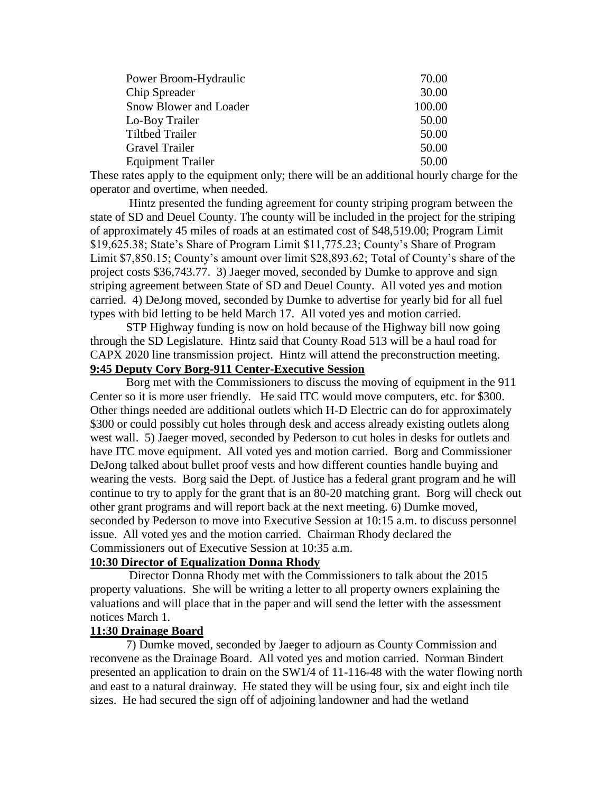| Power Broom-Hydraulic    | 70.00  |
|--------------------------|--------|
| Chip Spreader            | 30.00  |
| Snow Blower and Loader   | 100.00 |
| Lo-Boy Trailer           | 50.00  |
| <b>Tiltbed Trailer</b>   | 50.00  |
| <b>Gravel Trailer</b>    | 50.00  |
| <b>Equipment Trailer</b> | 50.00  |

These rates apply to the equipment only; there will be an additional hourly charge for the operator and overtime, when needed.

Hintz presented the funding agreement for county striping program between the state of SD and Deuel County. The county will be included in the project for the striping of approximately 45 miles of roads at an estimated cost of \$48,519.00; Program Limit \$19,625.38; State's Share of Program Limit \$11,775.23; County's Share of Program Limit \$7,850.15; County's amount over limit \$28,893.62; Total of County's share of the project costs \$36,743.77. 3) Jaeger moved, seconded by Dumke to approve and sign striping agreement between State of SD and Deuel County. All voted yes and motion carried. 4) DeJong moved, seconded by Dumke to advertise for yearly bid for all fuel types with bid letting to be held March 17. All voted yes and motion carried.

STP Highway funding is now on hold because of the Highway bill now going through the SD Legislature. Hintz said that County Road 513 will be a haul road for CAPX 2020 line transmission project. Hintz will attend the preconstruction meeting. **9:45 Deputy Cory Borg-911 Center-Executive Session**

Borg met with the Commissioners to discuss the moving of equipment in the 911 Center so it is more user friendly. He said ITC would move computers, etc. for \$300. Other things needed are additional outlets which H-D Electric can do for approximately \$300 or could possibly cut holes through desk and access already existing outlets along west wall. 5) Jaeger moved, seconded by Pederson to cut holes in desks for outlets and have ITC move equipment. All voted yes and motion carried. Borg and Commissioner DeJong talked about bullet proof vests and how different counties handle buying and wearing the vests. Borg said the Dept. of Justice has a federal grant program and he will continue to try to apply for the grant that is an 80-20 matching grant. Borg will check out other grant programs and will report back at the next meeting. 6) Dumke moved, seconded by Pederson to move into Executive Session at 10:15 a.m. to discuss personnel issue. All voted yes and the motion carried. Chairman Rhody declared the Commissioners out of Executive Session at 10:35 a.m.

#### **10:30 Director of Equalization Donna Rhody**

Director Donna Rhody met with the Commissioners to talk about the 2015 property valuations. She will be writing a letter to all property owners explaining the valuations and will place that in the paper and will send the letter with the assessment notices March 1.

#### **11:30 Drainage Board**

7) Dumke moved, seconded by Jaeger to adjourn as County Commission and reconvene as the Drainage Board. All voted yes and motion carried. Norman Bindert presented an application to drain on the SW1/4 of 11-116-48 with the water flowing north and east to a natural drainway. He stated they will be using four, six and eight inch tile sizes. He had secured the sign off of adjoining landowner and had the wetland